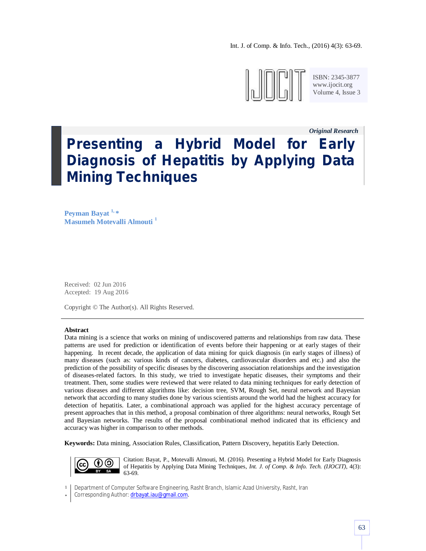Int. J. of Comp. & Info. Tech., (2016) 4(3): 63-69.



ISBN: 2345-3877 www.ijocit.org Volume 4, Issue 3

*Original Research\_\_*

**Presenting a Hybrid Model for Early Diagnosis of Hepatitis by Applying Data Mining Techniques**

**Peyman Bayat 1, \* Masumeh Motevalli Almouti <sup>1</sup>**

Received: 02 Jun 2016 Accepted: 19 Aug 2016

Copyright © The Author(s). All Rights Reserved.

#### **Abstract**

Data mining is a science that works on mining of undiscovered patterns and relationships from raw data. These patterns are used for prediction or identification of events before their happening or at early stages of their happening. In recent decade, the application of data mining for quick diagnosis (in early stages of illness) of many diseases (such as: various kinds of cancers, diabetes, cardiovascular disorders and etc.) and also the prediction of the possibility of specific diseases by the discovering association relationships and the investigation of diseases-related factors. In this study, we tried to investigate hepatic diseases, their symptoms and their treatment. Then, some studies were reviewed that were related to data mining techniques for early detection of various diseases and different algorithms like: decision tree, SVM, Rough Set, neural network and Bayesian network that according to many studies done by various scientists around the world had the highest accuracy for detection of hepatitis. Later, a combinational approach was applied for the highest accuracy percentage of present approaches that in this method, a proposal combination of three algorithms: neural networks, Rough Set and Bayesian networks. The results of the proposal combinational method indicated that its efficiency and accuracy was higher in comparison to other methods.

**Keywords:** Data mining, Association Rules, Classification, Pattern Discovery, hepatitis Early Detection.



Citation: Bayat, P., Motevalli Almouti, M. (2016). Presenting a Hybrid Model for Early Diagnosis of Hepatitis by Applying Data Mining Techniques, *Int. J. of Comp. & Info. Tech. (IJOCIT)*, 4(3): 63-69.

1 Department of Computer Software Engineering, Rasht Branch, Islamic Azad University, Rasht, Iran

\* Corresponding Author: drbayat.iau@gmail.com.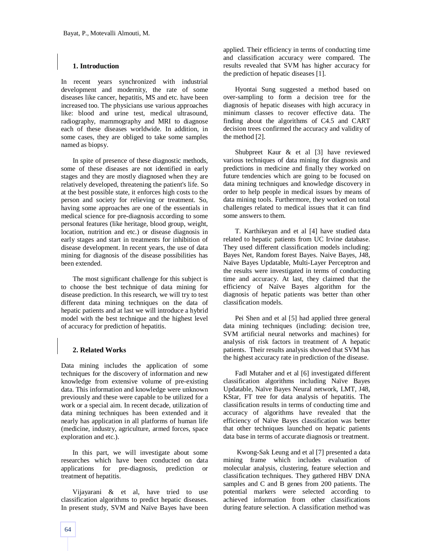## **1. Introduction**

In recent years synchronized with industrial development and modernity, the rate of some diseases like cancer, hepatitis, MS and etc. have been increased too. The physicians use various approaches like: blood and urine test, medical ultrasound, radiography, mammography and MRI to diagnose each of these diseases worldwide. In addition, in some cases, they are obliged to take some samples named as biopsy.

In spite of presence of these diagnostic methods, some of these diseases are not identified in early stages and they are mostly diagnosed when they are relatively developed, threatening the patient's life. So at the best possible state, it enforces high costs to the person and society for relieving or treatment. So, having some approaches are one of the essentials in medical science for pre-diagnosis according to some personal features (like heritage, blood group, weight, location, nutrition and etc.) or disease diagnosis in early stages and start in treatments for inhibition of disease development. In recent years, the use of data mining for diagnosis of the disease possibilities has been extended.

The most significant challenge for this subject is to choose the best technique of data mining for disease prediction. In this research, we will try to test different data mining techniques on the data of hepatic patients and at last we will introduce a hybrid model with the best technique and the highest level of accuracy for prediction of hepatitis.

## **2. Related Works**

Data mining includes the application of some techniques for the discovery of information and new knowledge from extensive volume of pre-existing data. This information and knowledge were unknown previously and these were capable to be utilized for a work or a special aim. In recent decade, utilization of data mining techniques has been extended and it nearly has application in all platforms of human life (medicine, industry, agriculture, armed forces, space exploration and etc.).

In this part, we will investigate about some researches which have been conducted on data applications for pre-diagnosis, prediction or treatment of hepatitis.

Vijayarani & et al, have tried to use classification algorithms to predict hepatic diseases. In present study, SVM and Naïve Bayes have been applied. Their efficiency in terms of conducting time and classification accuracy were compared. The results revealed that SVM has higher accuracy for the prediction of hepatic diseases [1].

Hyontai Sung suggested a method based on over-sampling to form a decision tree for the diagnosis of hepatic diseases with high accuracy in minimum classes to recover effective data. The finding about the algorithms of C4.5 and CART decision trees confirmed the accuracy and validity of the method [2].

Shubpreet Kaur & et al [3] have reviewed various techniques of data mining for diagnosis and predictions in medicine and finally they worked on future tendencies which are going to be focused on data mining techniques and knowledge discovery in order to help people in medical issues by means of data mining tools. Furthermore, they worked on total challenges related to medical issues that it can find some answers to them.

T. Karthikeyan and et al [4] have studied data related to hepatic patients from UC Irvine database. They used different classification models including: Bayes Net, Random forest Bayes. Naive Bayes, J48, Naïve Bayes Updatable, Multi-Layer Perceptron and the results were investigated in terms of conducting time and accuracy. At last, they claimed that the efficiency of Naïve Bayes algorithm for the diagnosis of hepatic patients was better than other classification models.

Pei Shen and et al [5] had applied three general data mining techniques (including: decision tree, SVM artificial neural networks and machines) for analysis of risk factors in treatment of A hepatic patients. Their results analysis showed that SVM has the highest accuracy rate in prediction of the disease.

Fadl Mutaher and et al [6] investigated different classification algorithms including Naïve Bayes Updatable, Naïve Bayes Neural network, LMT, J48, KStar, FT tree for data analysis of hepatitis. The classification results in terms of conducting time and accuracy of algorithms have revealed that the efficiency of Naïve Bayes classification was better that other techniques launched on hepatic patients data base in terms of accurate diagnosis or treatment.

Kwong-Sak Leung and et al [7] presented a data mining frame which includes evaluation of molecular analysis, clustering, feature selection and classification techniques. They gathered HBV DNA samples and C and B genes from 200 patients. The potential markers were selected according to achieved information from other classifications during feature selection. A classification method was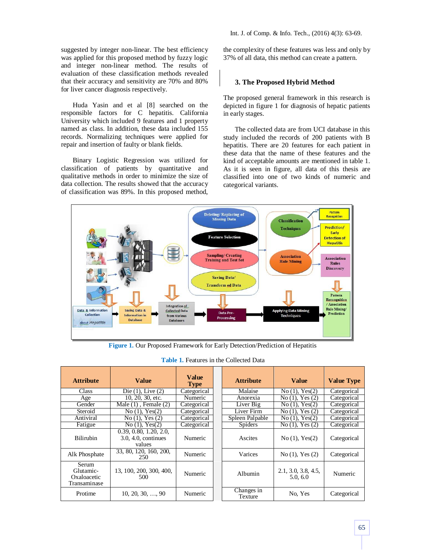suggested by integer non-linear. The best efficiency was applied for this proposed method by fuzzy logic and integer non-linear method. The results of evaluation of these classification methods revealed that their accuracy and sensitivity are 70% and 80% for liver cancer diagnosis respectively.

Huda Yasin and et al [8] searched on the responsible factors for C hepatitis. California University which included 9 features and 1 property named as class. In addition, these data included 155 records. Normalizing techniques were applied for repair and insertion of faulty or blank fields.

Binary Logistic Regression was utilized for classification of patients by quantitative and qualitative methods in order to minimize the size of data collection. The results showed that the accuracy of classification was 89%. In this proposed method, Int. J. of Comp. & Info. Tech., (2016) 4(3): 63-69.

the complexity of these features was less and only by 37% of all data, this method can create a pattern.

# **3. The Proposed Hybrid Method**

The proposed general framework in this research is depicted in figure 1 for diagnosis of hepatic patients in early stages.

The collected data are from UCI database in this study included the records of 200 patients with B hepatitis. There are 20 features for each patient in these data that the name of these features and the kind of acceptable amounts are mentioned in table 1. As it is seen in figure, all data of this thesis are classified into one of two kinds of numeric and categorical variants.



**Figure 1.** Our Proposed Framework for Early Detection/Prediction of Hepatitis

| <b>Table 1.</b> Features in the Collected Data |
|------------------------------------------------|
|------------------------------------------------|

| <b>Attribute</b>                                  | <b>Value</b>                                            | <b>Value</b><br><b>Type</b> | <b>Attribute</b>      | <b>Value</b>                    | <b>Value Type</b> |
|---------------------------------------------------|---------------------------------------------------------|-----------------------------|-----------------------|---------------------------------|-------------------|
| Class                                             | Die $(1)$ , Live $(2)$                                  | Categorical                 | Malaise               | $No(1)$ , $Yes(2)$              | Categorical       |
| Age                                               | 10, 20, 30, etc.                                        | Numeric                     | Anorexia              | $No(1)$ , Yes $(2)$             | Categorical       |
| Gender                                            | Male $(1)$ , Female $(2)$                               | Categorical                 | Liver Big             | No(1), Yes(2)                   | Categorical       |
| Steroid                                           | No(1), Yes(2)                                           | Categorical                 | Liver Firm            | $No(1)$ , Yes $(2)$             | Categorical       |
| Antiviral                                         | $No(1)$ , Yes $(2)$                                     | Categorical                 | Spleen Palpable       | $No(1)$ , $Yes(2)$              | Categorical       |
| Fatigue                                           | No(1), Yes(2)                                           | Categorical                 | <b>Spiders</b>        | $No(1)$ , Yes $(2)$             | Categorical       |
| <b>Bilirubin</b>                                  | 0.39, 0.80, 1.20, 2.0,<br>3.0, 4.0, continues<br>values | Numeric                     | Ascites               | $No(1)$ , $Yes(2)$              | Categorical       |
| Alk Phosphate                                     | 33, 80, 120, 160, 200,<br>250                           | Numeric                     | Varices               | $No(1)$ , Yes $(2)$             | Categorical       |
| Serum<br>Glutamic-<br>Oxaloacetic<br>Transaminase | 13, 100, 200, 300, 400,<br>500                          | Numeric                     | Albumin               | 2.1, 3.0, 3.8, 4.5,<br>5.0, 6.0 | Numeric           |
| Protime                                           | $10, 20, 30, \ldots, 90$                                | Numeric                     | Changes in<br>Texture | No. Yes                         | Categorical       |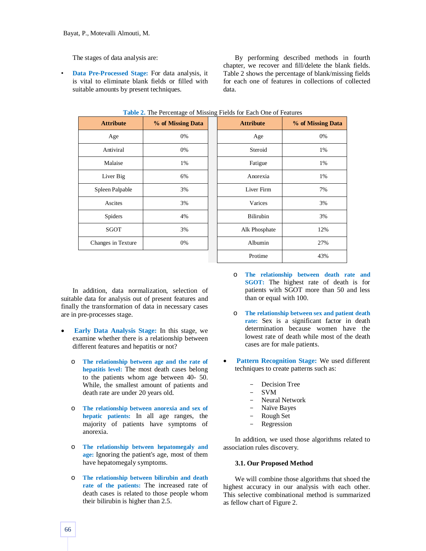The stages of data analysis are:

• **Data Pre-Processed Stage:** For data analysis, it is vital to eliminate blank fields or filled with suitable amounts by present techniques.

By performing described methods in fourth chapter, we recover and fill/delete the blank fields. Table 2 shows the percentage of blank/missing fields for each one of features in collections of collected data.

**Attribute % of Missing Data Attribute % of Missing Data**

| <b>THOICE:</b> THE PERMITTED OF PHOSING POLITICAL ONE OF PURSHES |                   |  |                  |              |  |  |  |
|------------------------------------------------------------------|-------------------|--|------------------|--------------|--|--|--|
| <b>Attribute</b>                                                 | % of Missing Data |  | <b>Attribute</b> | % of Missing |  |  |  |
| Age                                                              | 0%                |  | Age              | 0%           |  |  |  |
| Antiviral                                                        | 0%                |  | Steroid          | 1%           |  |  |  |
| Malaise                                                          | 1%                |  | Fatigue          | 1%           |  |  |  |
| Liver Big                                                        | 6%                |  | Anorexia         | 1%           |  |  |  |
| Spleen Palpable                                                  | 3%                |  | Liver Firm       | 7%           |  |  |  |
| Ascites                                                          | 3%                |  | Varices          | 3%           |  |  |  |
| Spiders                                                          | 4%                |  | <b>Bilirubin</b> | 3%           |  |  |  |
| <b>SGOT</b>                                                      | 3%                |  | Alk Phosphate    | 12%          |  |  |  |
| Changes in Texture                                               | 0%                |  | Albumin          | 27%          |  |  |  |
|                                                                  |                   |  |                  |              |  |  |  |

|  |  |  | Table 2. The Percentage of Missing Fields for Each One of Features |  |
|--|--|--|--------------------------------------------------------------------|--|
|  |  |  |                                                                    |  |

| 1.50             | $\mathsf{U}$ / $\mathsf{U}$ |
|------------------|-----------------------------|
| Steroid          | 1%                          |
| Fatigue          | 1%                          |
| Anorexia         | 1%                          |
| Liver Firm       | 7%                          |
| Varices          | 3%                          |
| <b>Bilirubin</b> | 3%                          |
| Alk Phosphate    | 12%                         |
| Albumin          | 27%                         |
| Protime          | 43%                         |

In addition, data normalization, selection of suitable data for analysis out of present features and finally the transformation of data in necessary cases are in pre-processes stage.

- **Early Data Analysis Stage:** In this stage, we examine whether there is a relationship between different features and hepatitis or not?
	- o **The relationship between age and the rate of hepatitis level:** The most death cases belong to the patients whom age between 40- 50. While, the smallest amount of patients and death rate are under 20 years old.
	- o **The relationship between anorexia and sex of hepatic patients:** In all age ranges, the majority of patients have symptoms of anorexia.
	- o **The relationship between hepatomegaly and age:** Ignoring the patient's age, most of them have hepatomegaly symptoms.
	- o **The relationship between bilirubin and death rate of the patients:** The increased rate of death cases is related to those people whom their bilirubin is higher than 2.5.
- o **The relationship between death rate and SGOT:** The highest rate of death is for patients with SGOT more than 50 and less than or equal with 100.
- o **The relationship between sex and patient death rate:** Sex is a significant factor in death determination because women have the lowest rate of death while most of the death cases are for male patients.
- **Pattern Recognition Stage:** We used different techniques to create patterns such as:
	- Decision Tree
	- SVM
	- Neural Network
	- Naïve Bayes
	- Rough Set
	- Regression

In addition, we used those algorithms related to association rules discovery.

### **3.1. Our Proposed Method**

We will combine those algorithms that shoed the highest accuracy in our analysis with each other. This selective combinational method is summarized as fellow chart of Figure 2.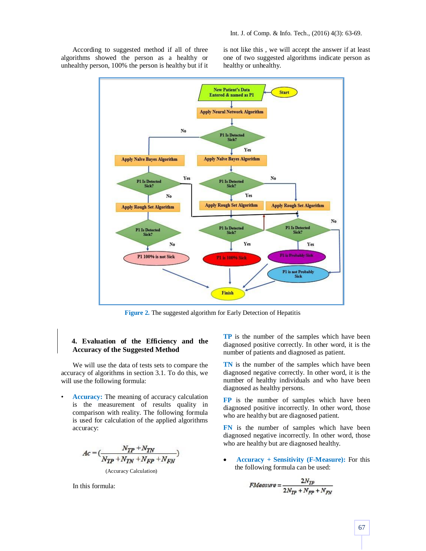According to suggested method if all of three algorithms showed the person as a healthy or unhealthy person, 100% the person is healthy but if it is not like this , we will accept the answer if at least one of two suggested algorithms indicate person as healthy or unhealthy.



**Figure 2.** The suggested algorithm for Early Detection of Hepatitis

## **4. Evaluation of the Efficiency and the Accuracy of the Suggested Method**

We will use the data of tests sets to compare the accuracy of algorithms in section 3.1. To do this, we will use the following formula:

Accuracy: The meaning of accuracy calculation is the measurement of results quality in comparison with reality. The following formula is used for calculation of the applied algorithms accuracy:

$$
Ac = \left(\frac{N_{TP} + N_{TN}}{N_{TP} + N_{TN} + N_{FP} + N_{FN}}\right)
$$
  
(Accuracy Calculation)

In this formula:

**TP** is the number of the samples which have been diagnosed positive correctly. In other word, it is the number of patients and diagnosed as patient.

**TN** is the number of the samples which have been diagnosed negative correctly. In other word, it is the number of healthy individuals and who have been diagnosed as healthy persons.

**FP** is the number of samples which have been diagnosed positive incorrectly. In other word, those who are healthy but are diagnosed patient.

**FN** is the number of samples which have been diagnosed negative incorrectly. In other word, those who are healthy but are diagnosed healthy.

 **Accuracy + Sensitivity (F-Measure):** For this the following formula can be used:

$$
FMeasure = \frac{2N_{TP}}{2N_{TP} + N_{FP} + N_{FN}}
$$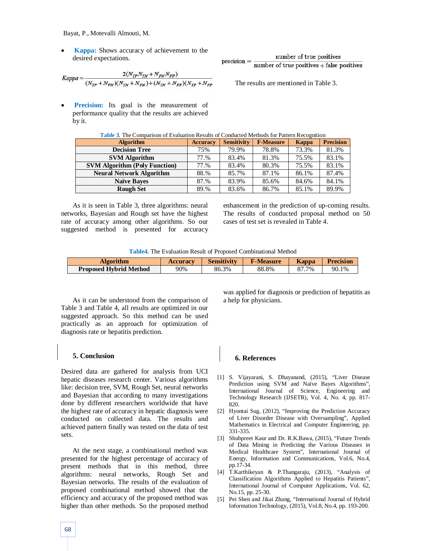Bayat, P., Motevalli Almouti, M.

 **Kappa:** Shows accuracy of achievement to the desired expectations.

$$
Kappa = \frac{2(N_{TP}N_{TN} + N_{FN}N_{FP})}{(N_{TP} + N_{FN})(N_{TN} + N_{FN}) + (N_{TN} + N_{FP})(N_{TP} + N_{FP})}
$$

number of true positives  $precision =$  $number of true positives + false positives$ 

The results are mentioned in Table 3.

**Precision:** Its goal is the measurement of performance quality that the results are achieved by it.

| <b>Table 3.</b> The Comparison of Evaluation Results of Conducted Methods for Pattern Recognition |                 |                    |                  |       |                  |  |  |
|---------------------------------------------------------------------------------------------------|-----------------|--------------------|------------------|-------|------------------|--|--|
| <b>Algorithm</b>                                                                                  | <b>Accuracy</b> | <b>Sensitivity</b> | <b>F-Measure</b> | Kappa | <b>Precision</b> |  |  |
| <b>Decision Tree</b>                                                                              | 75%             | 79.9%              | 78.8%            | 73.3% | 81.3%            |  |  |
| <b>SVM Algorithm</b>                                                                              | 77.%            | 83.4%              | 81.3%            | 75.5% | 83.1%            |  |  |
| <b>SVM Algorithm (Poly Function)</b>                                                              | 77.%            | 83.4%              | 80.3%            | 75.5% | 83.1%            |  |  |
| <b>Neural Network Algorithm</b>                                                                   | 88.%            | 85.7%              | 87.1%            | 86.1% | 87.4%            |  |  |
| <b>Naïve Bayes</b>                                                                                | 87.%            | 83.9%              | 85.6%            | 84.6% | 84.1%            |  |  |
| <b>Rough Set</b>                                                                                  | 89.%            | 83.6%              | 86.7%            | 85.1% | 89.9%            |  |  |

As it is seen in Table 3, three algorithms: neural networks, Bayesian and Rough set have the highest rate of accuracy among other algorithms. So our suggested method is presented for accuracy enhancement in the prediction of up-coming results. The results of conducted proposal method on 50 cases of test set is revealed in Table 4.

| <b>Algorithm</b>              | <b>Accuracy</b> | <b>Sensitivity</b> | <b>F-Measure</b> | <b>Kappa</b> | <b>Precision</b> |
|-------------------------------|-----------------|--------------------|------------------|--------------|------------------|
| <b>Proposed Hybrid Method</b> | 90%             | 86.3%              | 88.8%            | $.7\%$       | 90.1%            |

As it can be understood from the comparison of Table 3 and Table 4, all results are optimized in our suggested approach. So this method can be used practically as an approach for optimization of diagnosis rate or hepatitis prediction.

## **5. Conclusion**

Desired data are gathered for analysis from UCI hepatic diseases research center. Various algorithms like: decision tree, SVM, Rough Set, neural networks and Bayesian that according to many investigations done by different researchers worldwide that have the highest rate of accuracy in hepatic diagnosis were conducted on collected data. The results and achieved pattern finally was tested on the data of test sets.

At the next stage, a combinational method was presented for the highest percentage of accuracy of present methods that in this method, three algorithms: neural networks, Rough Set and Bayesian networks. The results of the evaluation of proposed combinational method showed that the efficiency and accuracy of the proposed method was higher than other methods. So the proposed method

was applied for diagnosis or prediction of hepatitis as a help for physicians.

## **6. References**

- [1] S. Vijayarani, S. Dhayanand, (2015), "Liver Disease Prediction using SVM and Naïve Bayes Algorithms", International Journal of Science, Engineering and Technology Research (IJSETR), Vol. 4, No. 4, pp. 817- 820.
- [2] Hyontai Sug, (2012), "Improving the Prediction Accuracy of Liver Disorder Disease with Oversampling", Applied Mathematics in Electrical and Computer Engineering, pp. 331-335.
- [3] Shubpreet Kaur and Dr. R.K.Bawa, (2015), "Future Trends of Data Mining in Predicting the Various Diseases in Medical Healthcare System", International Journal of Energy, Information and Communications, Vol.6, No.4, pp.17-34.
- [4] T.Karthikeyan & P.Thangaraju, (2013), "Analysis of Classification Algorithms Applied to Hepatitis Patients", International Journal of Computer Applications, Vol. 62, No.15, pp. 25-30.
- [5] Pei Shen and Jikai Zhang, "International Journal of Hybrid Information Technology, (2015), Vol.8, No.4, pp. 193-200.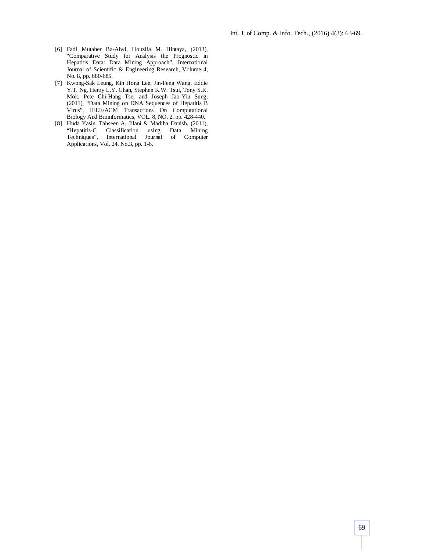- [6] Fadl Mutaher Ba-Alwi, Houzifa M. Hintaya, (2013), "Comparative Study for Analysis the Prognostic in Hepatitis Data: Data Mining Approach", International Journal of Scientific & Engineering Research, Volume 4, No. 8, pp. 680-685.
- [7] Kwong-Sak Leung, Kin Hong Lee, Jin-Feng Wang, Eddie Y.T. Ng, Henry L.Y. Chan, Stephen K.W. Tsui, Tony S.K. Mok, Pete Chi-Hang Tse, and Joseph Jao-Yiu Sung, (2011), "Data Mining on DNA Sequences of Hepatitis B Virus", IEEE/ACM Transactions On Computational Biology And Bioinformatics, VOL. 8, NO. 2, pp. 428-440.
- [8] Huda Yasin, Tahseen A. Jilani & Madiha Danish, (2011), "Hepatitis-C Classification using Data Mining International Journal Applications, Vol. 24, No.3, pp. 1-6.